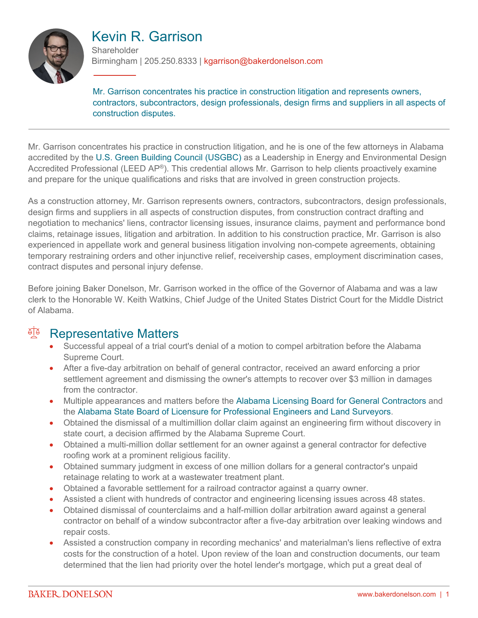

#### Kevin R. Garrison **Shareholder**

Birmingham | 205.250.8333 | kgarrison@bakerdonelson.com

Mr. Garrison concentrates his practice in construction litigation and represents owners, contractors, subcontractors, design professionals, design firms and suppliers in all aspects of construction disputes.

Mr. Garrison concentrates his practice in construction litigation, and he is one of the few attorneys in Alabama accredited by the [U.S. Green Building Council \(USGBC\)](http://www.usgbc.org/) as a Leadership in Energy and Environmental Design Accredited Professional (LEED AP®). This credential allows Mr. Garrison to help clients proactively examine and prepare for the unique qualifications and risks that are involved in green construction projects.

As a construction attorney, Mr. Garrison represents owners, contractors, subcontractors, design professionals, design firms and suppliers in all aspects of construction disputes, from construction contract drafting and negotiation to mechanics' liens, contractor licensing issues, insurance claims, payment and performance bond claims, retainage issues, litigation and arbitration. In addition to his construction practice, Mr. Garrison is also experienced in appellate work and general business litigation involving non-compete agreements, obtaining temporary restraining orders and other injunctive relief, receivership cases, employment discrimination cases, contract disputes and personal injury defense.

Before joining Baker Donelson, Mr. Garrison worked in the office of the Governor of Alabama and was a law clerk to the Honorable W. Keith Watkins, Chief Judge of the United States District Court for the Middle District of Alabama.

#### <sup>A</sup> Representative Matters

- Successful appeal of a trial court's denial of a motion to compel arbitration before the Alabama Supreme Court.
- After a five-day arbitration on behalf of general contractor, received an award enforcing a prior settlement agreement and dismissing the owner's attempts to recover over \$3 million in damages from the contractor.
- Multiple appearances and matters before the [Alabama Licensing Board for General Contractors](http://genconbd.alabama.gov/default.aspx) and the [Alabama State Board of Licensure for Professional Engineers and Land Surveyors.](http://www.bels.alabama.gov/)
- Obtained the dismissal of a multimillion dollar claim against an engineering firm without discovery in state court, a decision affirmed by the Alabama Supreme Court.
- Obtained a multi-million dollar settlement for an owner against a general contractor for defective roofing work at a prominent religious facility.
- Obtained summary judgment in excess of one million dollars for a general contractor's unpaid retainage relating to work at a wastewater treatment plant.
- Obtained a favorable settlement for a railroad contractor against a quarry owner.
- Assisted a client with hundreds of contractor and engineering licensing issues across 48 states.
- Obtained dismissal of counterclaims and a half-million dollar arbitration award against a general contractor on behalf of a window subcontractor after a five-day arbitration over leaking windows and repair costs.
- Assisted a construction company in recording mechanics' and materialman's liens reflective of extra costs for the construction of a hotel. Upon review of the loan and construction documents, our team determined that the lien had priority over the hotel lender's mortgage, which put a great deal of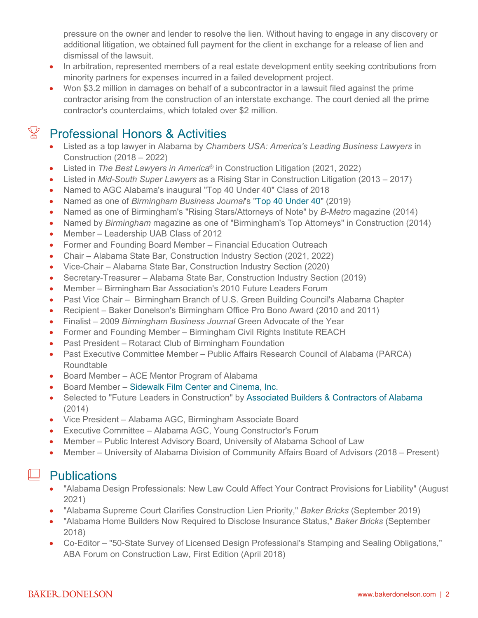pressure on the owner and lender to resolve the lien. Without having to engage in any discovery or additional litigation, we obtained full payment for the client in exchange for a release of lien and dismissal of the lawsuit.

- In arbitration, represented members of a real estate development entity seeking contributions from minority partners for expenses incurred in a failed development project.
- Won \$3.2 million in damages on behalf of a subcontractor in a lawsuit filed against the prime contractor arising from the construction of an interstate exchange. The court denied all the prime contractor's counterclaims, which totaled over \$2 million.

## $\mathbb{X}$  Professional Honors & Activities

- Listed as a top lawyer in Alabama by *Chambers USA: America's Leading Business Lawyers* in Construction (2018 – 2022)
- Listed in *The Best Lawyers in America*® in Construction Litigation (2021, 2022)
- Listed in *Mid-South Super Lawyers* as a Rising Star in Construction Litigation (2013 2017)
- Named to AGC Alabama's inaugural "Top 40 Under 40" Class of 2018
- Named as one of *Birmingham Business Journal*'s ["Top 40 Under 40"](https://www.bizjournals.com/birmingham/news/2019/02/06/meet-the-bbjs-2019-top-40-under-40.html) (2019)
- Named as one of Birmingham's "Rising Stars/Attorneys of Note" by *B-Metro* magazine (2014)
- Named by *Birmingham* magazine as one of "Birmingham's Top Attorneys" in Construction (2014)
- Member Leadership UAB Class of 2012
- Former and Founding Board Member Financial Education Outreach
- Chair Alabama State Bar, Construction Industry Section (2021, 2022)
- Vice-Chair Alabama State Bar, Construction Industry Section (2020)
- Secretary-Treasurer Alabama State Bar, Construction Industry Section (2019)
- Member Birmingham Bar Association's 2010 Future Leaders Forum
- Past Vice Chair Birmingham Branch of U.S. Green Building Council's Alabama Chapter
- Recipient Baker Donelson's Birmingham Office Pro Bono Award (2010 and 2011)
- Finalist 2009 *Birmingham Business Journal* Green Advocate of the Year
- Former and Founding Member Birmingham Civil Rights Institute REACH
- Past President Rotaract Club of Birmingham Foundation
- Past Executive Committee Member Public Affairs Research Council of Alabama (PARCA) Roundtable
- Board Member ACE Mentor Program of Alabama
- Board Member – [Sidewalk Film Center and Cinema, Inc.](http://arc-sos.state.al.us/cgi/corpdetail.mbr/detail?corp=551011&page=name&file=&type=ALL&status=ALL&place=ALL&city=)
- Selected to "Future Leaders in Construction" by [Associated Builders & Contractors of Alabama](http://www.abc-alabama.org/) (2014)
- Vice President Alabama AGC, Birmingham Associate Board
- Executive Committee Alabama AGC, Young Constructor's Forum
- Member Public Interest Advisory Board, University of Alabama School of Law
- Member University of Alabama Division of Community Affairs Board of Advisors (2018 Present)

#### $\Box$  Publications

- "Alabama Design Professionals: New Law Could Affect Your Contract Provisions for Liability" (August 2021)
- "Alabama Supreme Court Clarifies Construction Lien Priority," *Baker Bricks* (September 2019)
- "Alabama Home Builders Now Required to Disclose Insurance Status," *Baker Bricks* (September 2018)
- Co-Editor "50-State Survey of Licensed Design Professional's Stamping and Sealing Obligations," ABA Forum on Construction Law, First Edition (April 2018)